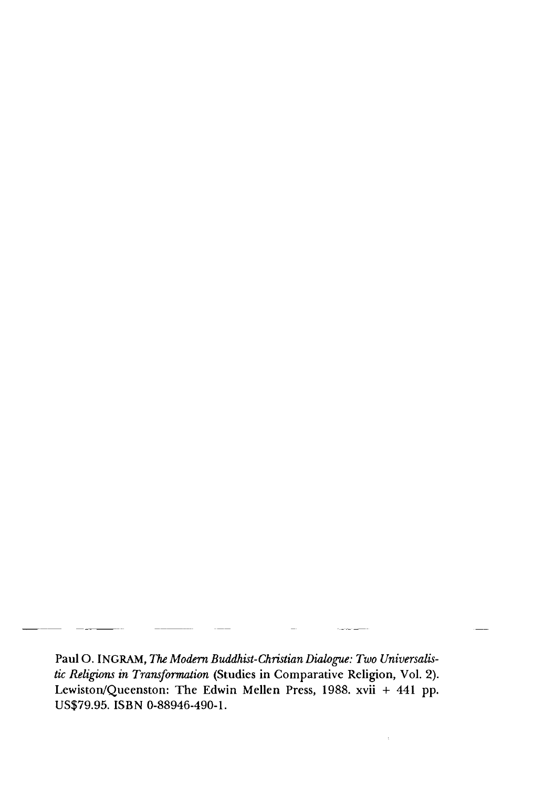Paul O. INGRAM, The Modern Buddhist-Christian Dialogue: Two Universalis*tic Religions in Transformation* (Studies in Comparative Religion, Vol. 2). Lewiston/Queenston: The Edwin Mellen Press, 1988. xvii + 441 pp. US\$79.95. ISBN 0-88946-490-1.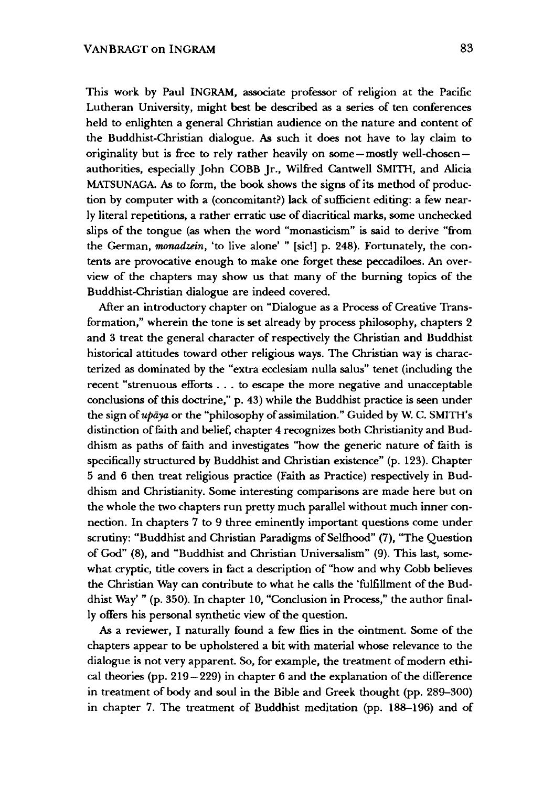This work by Paul INGRAM, associate professor of religion at the Pacific Lutheran University, might best be described as a series of ten conferences held to enlighten a general Christian audience on the nature and content of the Buddhist-Christian dialogue. As such it does not have to lay claim to originality but is free to rely rather heavily on some — mostly well-chosen authorities, especially John COBB Jr., Wilfred Cantwell SMITH, and Alicia MATSUNAGA. As to form, the book shows the signs of its method of production by computer with a (concomitant?) lack of sufficient editing: a few nearly literal repetitions, a rather erratic use of diacritical marks, some unchecked slips of the tongue (as when the word "monasticism" is said to derive "from the German, *monadzein,* 'to live alone' " [sic!] p. 248). Fortunately, the contents are provocative enough to make one forget these peccadiloes. An overview of the chapters may show us that many of the burning topics of the Buddhist-Christian dialogue are indeed covered.

After an introductory chapter on "Dialogue as a Process of Creative Transformation," wherein the tone is set already by process philosophy, chapters 2 and 3 treat the general character of respectively the Christian and Buddhist historical attitudes toward other religious ways. The Christian way is characterized as dominated by the "extra ecclesiam nulla salus" tenet (including the recent "strenuous efforts . . . to escape the more negative and unacceptable conclusions of this doctrine,'' p. 43) while the Buddhist practice is seen under the sign of *updya* or the "philosophy of assimilation." Guided by W. C. SMITH'S distinction of feith and belief, chapter 4 recognizes both Christianity and Buddhism as paths of faith and investigates "how the generic nature of faith is specifically structured by Buddhist and Christian existence" (p. 123). Chapter 5 and 6 then treat religious practice (Faith as Practice) respectively in Buddhism and Christianity. Some interesting comparisons are made here but on the whole the two chapters run pretty much parallel without much inner connection. In chapters 7 to 9 three eminently important questions come under scrutiny: "Buddhist and Christian Paradigms of Selfhood" (7), "The Question of God" (8), and "Buddhist and Christian Universalism" (9). This last, somewhat cryptic, title covers in fact a description of "how and why Cobb believes the Christian Way can contribute to what he calls the 'fulfillment of the Buddhist Way' " (p. 350). In chapter 10, "Conclusion in Process/' the author finally offers his personal synthetic view of the question.

As a reviewer, I naturally found a few flies in the ointment. Some of the chapters appear to be upholstered a bit with material whose relevance to the dialogue is not very apparent. So, for example, the treatment of modern ethical theories (pp. 219 — 229) in chapter 6 and the explanation of the difference in treatment of body and soul in the Bible and Greek thought (pp. 289-300) in chapter 7. The treatment of Buddhist meditation (pp. 188-196) and of